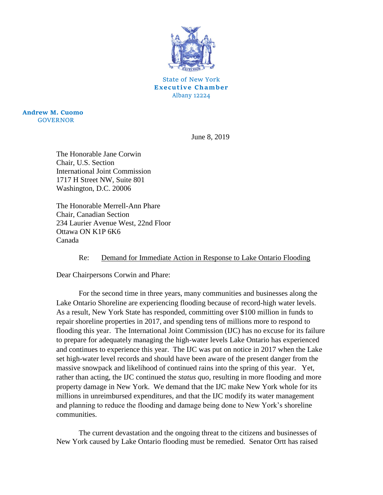

State of New York **Executive Chamber** Albany 12224

**Andrew M. Cuomo** GOVERNOR

June 8, 2019

The Honorable Jane Corwin Chair, U.S. Section International Joint Commission 1717 H Street NW, Suite 801 Washington, D.C. 20006

The Honorable Merrell-Ann Phare Chair, Canadian Section 234 Laurier Avenue West, 22nd Floor Ottawa ON K1P 6K6 Canada

## Re: Demand for Immediate Action in Response to Lake Ontario Flooding

Dear Chairpersons Corwin and Phare:

For the second time in three years, many communities and businesses along the Lake Ontario Shoreline are experiencing flooding because of record-high water levels. As a result, New York State has responded, committing over \$100 million in funds to repair shoreline properties in 2017, and spending tens of millions more to respond to flooding this year. The International Joint Commission (IJC) has no excuse for its failure to prepare for adequately managing the high-water levels Lake Ontario has experienced and continues to experience this year. The IJC was put on notice in 2017 when the Lake set high-water level records and should have been aware of the present danger from the massive snowpack and likelihood of continued rains into the spring of this year. Yet, rather than acting, the IJC continued the *status quo*, resulting in more flooding and more property damage in New York. We demand that the IJC make New York whole for its millions in unreimbursed expenditures, and that the IJC modify its water management and planning to reduce the flooding and damage being done to New York's shoreline communities.

The current devastation and the ongoing threat to the citizens and businesses of New York caused by Lake Ontario flooding must be remedied. Senator Ortt has raised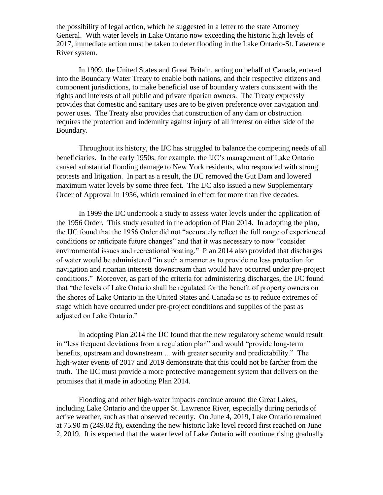the possibility of legal action, which he suggested in a letter to the state Attorney General. With water levels in Lake Ontario now exceeding the historic high levels of 2017, immediate action must be taken to deter flooding in the Lake Ontario-St. Lawrence River system.

In 1909, the United States and Great Britain, acting on behalf of Canada, entered into the Boundary Water Treaty to enable both nations, and their respective citizens and component jurisdictions, to make beneficial use of boundary waters consistent with the rights and interests of all public and private riparian owners. The Treaty expressly provides that domestic and sanitary uses are to be given preference over navigation and power uses. The Treaty also provides that construction of any dam or obstruction requires the protection and indemnity against injury of all interest on either side of the Boundary.

Throughout its history, the IJC has struggled to balance the competing needs of all beneficiaries. In the early 1950s, for example, the IJC's management of Lake Ontario caused substantial flooding damage to New York residents, who responded with strong protests and litigation. In part as a result, the IJC removed the Gut Dam and lowered maximum water levels by some three feet. The IJC also issued a new Supplementary Order of Approval in 1956, which remained in effect for more than five decades.

In 1999 the IJC undertook a study to assess water levels under the application of the 1956 Order. This study resulted in the adoption of Plan 2014. In adopting the plan, the IJC found that the 1956 Order did not "accurately reflect the full range of experienced conditions or anticipate future changes" and that it was necessary to now "consider environmental issues and recreational boating." Plan 2014 also provided that discharges of water would be administered "in such a manner as to provide no less protection for navigation and riparian interests downstream than would have occurred under pre-project conditions." Moreover, as part of the criteria for administering discharges, the IJC found that "the levels of Lake Ontario shall be regulated for the benefit of property owners on the shores of Lake Ontario in the United States and Canada so as to reduce extremes of stage which have occurred under pre-project conditions and supplies of the past as adjusted on Lake Ontario."

In adopting Plan 2014 the IJC found that the new regulatory scheme would result in "less frequent deviations from a regulation plan" and would "provide long-term benefits, upstream and downstream ... with greater security and predictability." The high-water events of 2017 and 2019 demonstrate that this could not be farther from the truth. The IJC must provide a more protective management system that delivers on the promises that it made in adopting Plan 2014.

Flooding and other high-water impacts continue around the Great Lakes, including Lake Ontario and the upper St. Lawrence River, especially during periods of active weather, such as that observed recently. On June 4, 2019, Lake Ontario remained at 75.90 m (249.02 ft), extending the new historic lake level record first reached on June 2, 2019. It is expected that the water level of Lake Ontario will continue rising gradually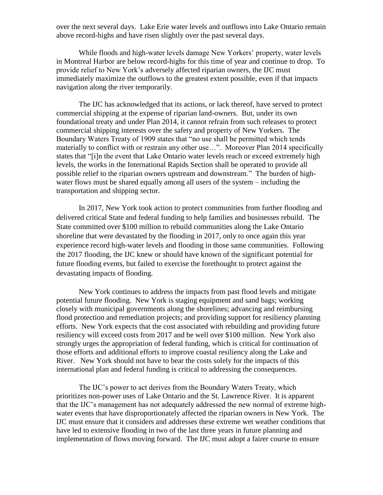over the next several days. Lake Erie water levels and outflows into Lake Ontario remain above record-highs and have risen slightly over the past several days.

While floods and high-water levels damage New Yorkers' property, water levels in Montreal Harbor are below record-highs for this time of year and continue to drop. To provide relief to New York's adversely affected riparian owners, the IJC must immediately maximize the outflows to the greatest extent possible, even if that impacts navigation along the river temporarily.

The IJC has acknowledged that its actions, or lack thereof, have served to protect commercial shipping at the expense of riparian land-owners. But, under its own foundational treaty and under Plan 2014, it cannot refrain from such releases to protect commercial shipping interests over the safety and property of New Yorkers. The Boundary Waters Treaty of 1909 states that "no use shall be permitted which tends materially to conflict with or restrain any other use…". Moreover Plan 2014 specifically states that "[i]n the event that Lake Ontario water levels reach or exceed extremely high levels, the works in the International Rapids Section shall be operated to provide all possible relief to the riparian owners upstream and downstream." The burden of highwater flows must be shared equally among all users of the system – including the transportation and shipping sector.

In 2017, New York took action to protect communities from further flooding and delivered critical State and federal funding to help families and businesses rebuild. The State committed over \$100 million to rebuild communities along the Lake Ontario shoreline that were devastated by the flooding in 2017, only to once again this year experience record high-water levels and flooding in those same communities. Following the 2017 flooding, the IJC knew or should have known of the significant potential for future flooding events, but failed to exercise the forethought to protect against the devastating impacts of flooding.

New York continues to address the impacts from past flood levels and mitigate potential future flooding. New York is staging equipment and sand bags; working closely with municipal governments along the shorelines; advancing and reimbursing flood protection and remediation projects; and providing support for resiliency planning efforts. New York expects that the cost associated with rebuilding and providing future resiliency will exceed costs from 2017 and be well over \$100 million. New York also strongly urges the appropriation of federal funding, which is critical for continuation of those efforts and additional efforts to improve coastal resiliency along the Lake and River. New York should not have to bear the costs solely for the impacts of this international plan and federal funding is critical to addressing the consequences.

The IJC's power to act derives from the Boundary Waters Treaty, which prioritizes non-power uses of Lake Ontario and the St. Lawrence River. It is apparent that the IJC's management has not adequately addressed the new normal of extreme highwater events that have disproportionately affected the riparian owners in New York. The IJC must ensure that it considers and addresses these extreme wet weather conditions that have led to extensive flooding in two of the last three years in future planning and implementation of flows moving forward. The IJC must adopt a fairer course to ensure